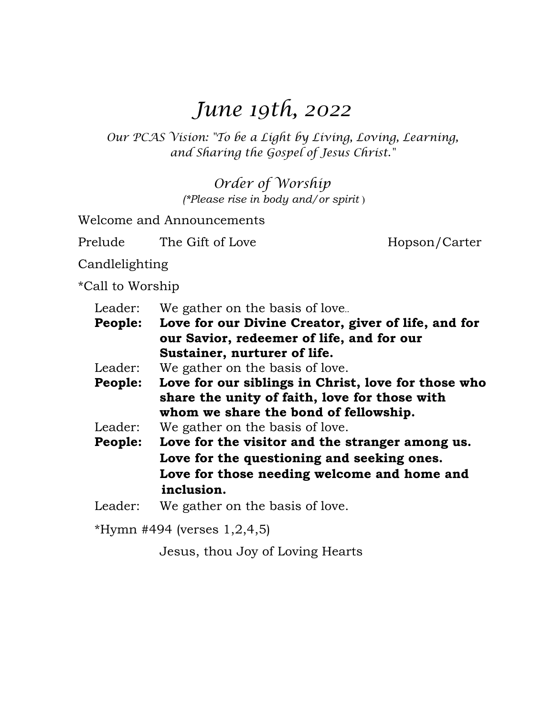# *June 19th, 2022*

*Our PCAS Vision: "To be a Light by Living, Loving, Learning, and Sharing the Gospel of Jesus Christ."* 

> *Order of Worship (\*Please rise in body and/or spirit* )

Welcome and Announcements

Prelude The Gift of Love Hopson/Carter

Candlelighting

\*Call to Worship

Leader: We gather on the basis of love...

**People: Love for our Divine Creator, giver of life, and for our Savior, redeemer of life, and for our Sustainer, nurturer of life.**

Leader: We gather on the basis of love.

 **People: Love for our siblings in Christ, love for those who share the unity of faith, love for those with whom we share the bond of fellowship.** 

Leader: We gather on the basis of love.

**People: Love for the visitor and the stranger among us. Love for the questioning and seeking ones. Love for those needing welcome and home and inclusion.** 

Leader: We gather on the basis of love.

\*Hymn #494 (verses  $1,2,4,5$ )

Jesus, thou Joy of Loving Hearts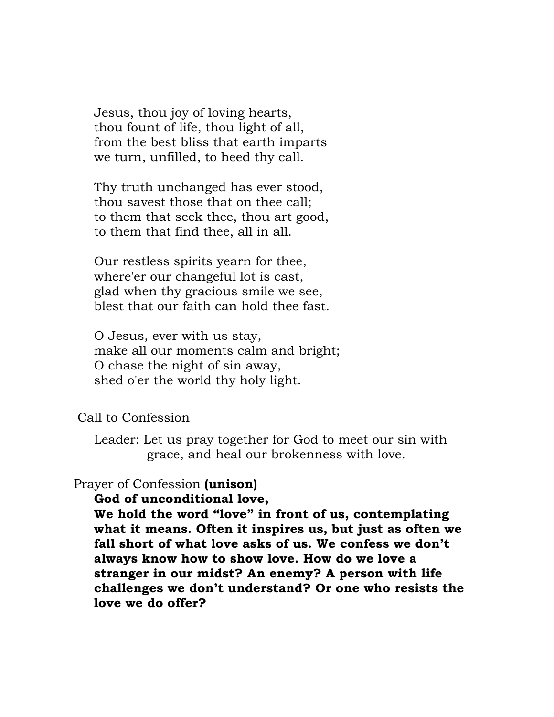Jesus, thou joy of loving hearts, thou fount of life, thou light of all, from the best bliss that earth imparts we turn, unfilled, to heed thy call.

 Thy truth unchanged has ever stood, thou savest those that on thee call; to them that seek thee, thou art good, to them that find thee, all in all.

 Our restless spirits yearn for thee, where'er our changeful lot is cast, glad when thy gracious smile we see, blest that our faith can hold thee fast.

 O Jesus, ever with us stay, make all our moments calm and bright; O chase the night of sin away, shed o'er the world thy holy light.

#### Call to Confession

 Leader: Let us pray together for God to meet our sin with grace, and heal our brokenness with love.

## Prayer of Confession **(unison)**

#### **God of unconditional love,**

 **We hold the word "love" in front of us, contemplating what it means. Often it inspires us, but just as often we fall short of what love asks of us. We confess we don't always know how to show love. How do we love a stranger in our midst? An enemy? A person with life challenges we don't understand? Or one who resists the love we do offer?**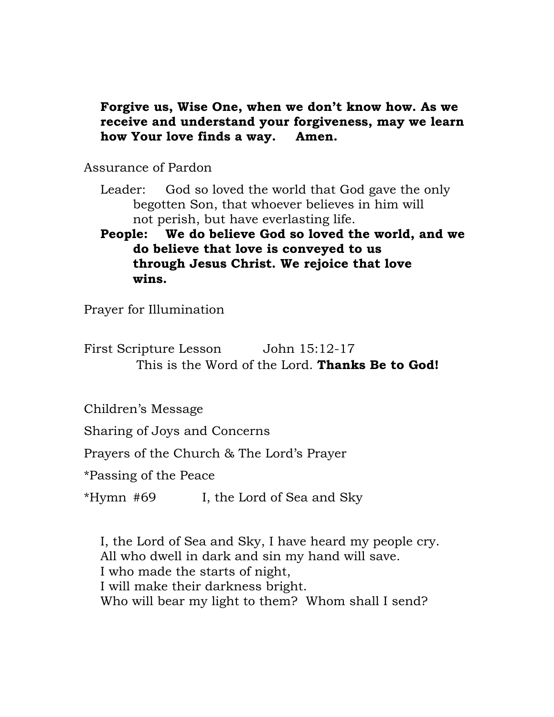# **Forgive us, Wise One, when we don't know how. As we receive and understand your forgiveness, may we learn how Your love finds a way. Amen.**

Assurance of Pardon

- Leader: God so loved the world that God gave the only begotten Son, that whoever believes in him will not perish, but have everlasting life.
- **People: We do believe God so loved the world, and we do believe that love is conveyed to us through Jesus Christ. We rejoice that love wins.**

Prayer for Illumination

First Scripture Lesson John 15:12-17 This is the Word of the Lord. **Thanks Be to God!** 

Children's Message

Sharing of Joys and Concerns

Prayers of the Church & The Lord's Prayer

\*Passing of the Peace

\*Hymn #69 I, the Lord of Sea and Sky

 I, the Lord of Sea and Sky, I have heard my people cry. All who dwell in dark and sin my hand will save. I who made the starts of night, I will make their darkness bright. Who will bear my light to them? Whom shall I send?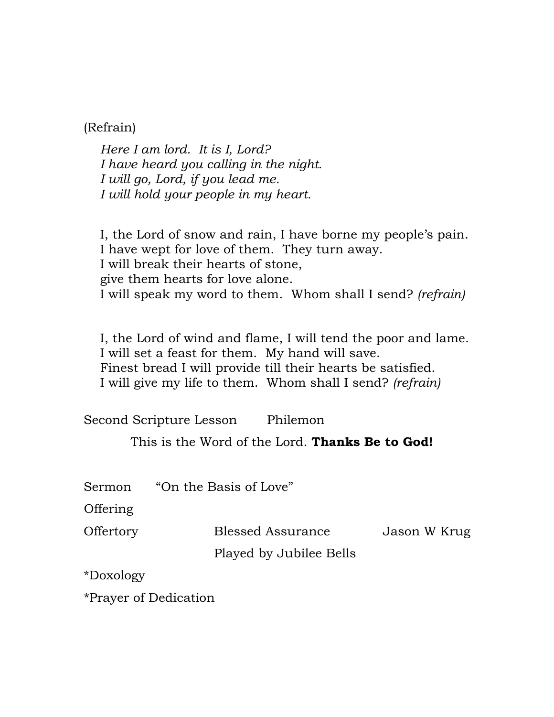(Refrain)

*Here I am lord. It is I, Lord? I have heard you calling in the night. I will go, Lord, if you lead me. I will hold your people in my heart.*

 I, the Lord of snow and rain, I have borne my people's pain. I have wept for love of them. They turn away. I will break their hearts of stone, give them hearts for love alone. I will speak my word to them. Whom shall I send? *(refrain)* 

 I, the Lord of wind and flame, I will tend the poor and lame. I will set a feast for them. My hand will save. Finest bread I will provide till their hearts be satisfied. I will give my life to them. Whom shall I send? *(refrain)*

Second Scripture Lesson Philemon

This is the Word of the Lord. **Thanks Be to God!** 

Sermon "On the Basis of Love"

Offering

Offertory Blessed Assurance Jason W Krug

Played by Jubilee Bells

\*Doxology

\*Prayer of Dedication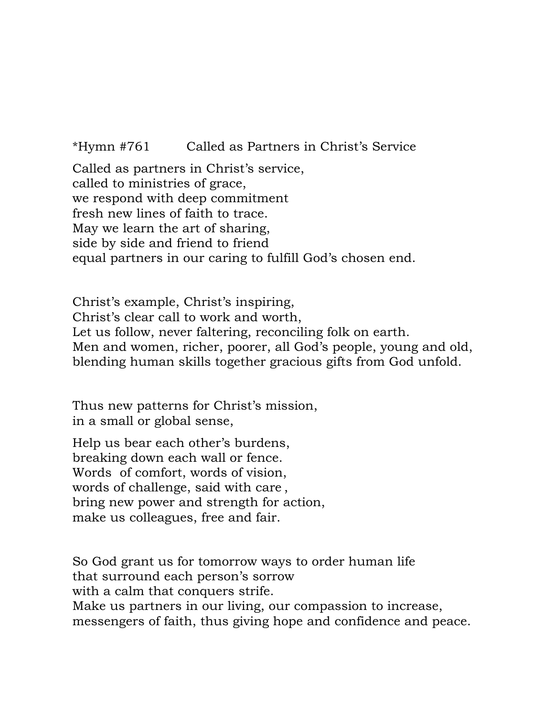\*Hymn #761 Called as Partners in Christ's Service

Called as partners in Christ's service, called to ministries of grace, we respond with deep commitment fresh new lines of faith to trace. May we learn the art of sharing, side by side and friend to friend equal partners in our caring to fulfill God's chosen end.

Christ's example, Christ's inspiring, Christ's clear call to work and worth, Let us follow, never faltering, reconciling folk on earth. Men and women, richer, poorer, all God's people, young and old, blending human skills together gracious gifts from God unfold.

Thus new patterns for Christ's mission, in a small or global sense,

Help us bear each other's burdens, breaking down each wall or fence. Words of comfort, words of vision, words of challenge, said with care , bring new power and strength for action, make us colleagues, free and fair.

So God grant us for tomorrow ways to order human life that surround each person's sorrow with a calm that conquers strife. Make us partners in our living, our compassion to increase, messengers of faith, thus giving hope and confidence and peace.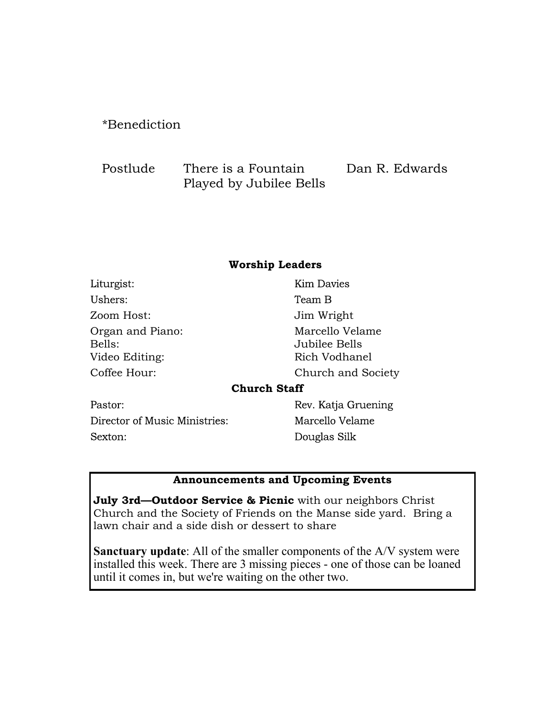## \*Benediction

| Postlude | There is a Fountain     | Dan R. Edwards |
|----------|-------------------------|----------------|
|          | Played by Jubilee Bells |                |

#### **Worship Leaders**

| Liturgist:                                   | <b>Kim Davies</b>                                 |
|----------------------------------------------|---------------------------------------------------|
| Ushers:                                      | Team B                                            |
| Zoom Host:                                   | Jim Wright                                        |
| Organ and Piano:<br>Bells:<br>Video Editing: | Marcello Velame<br>Jubilee Bells<br>Rich Vodhanel |
| Coffee Hour:                                 | Church and Society                                |
|                                              | <b>Church Staff</b>                               |
| Pastor:                                      | Rev. Katja Gruening                               |
|                                              |                                                   |

Director of Music Ministries: Sexton:

Marcello Velame Douglas Silk

#### **Announcements and Upcoming Events**

**July 3rd—Outdoor Service & Picnic** with our neighbors Christ Church and the Society of Friends on the Manse side yard. Bring a lawn chair and a side dish or dessert to share

**Sanctuary update**: All of the smaller components of the A/V system were installed this week. There are 3 missing pieces - one of those can be loaned until it comes in, but we're waiting on the other two.